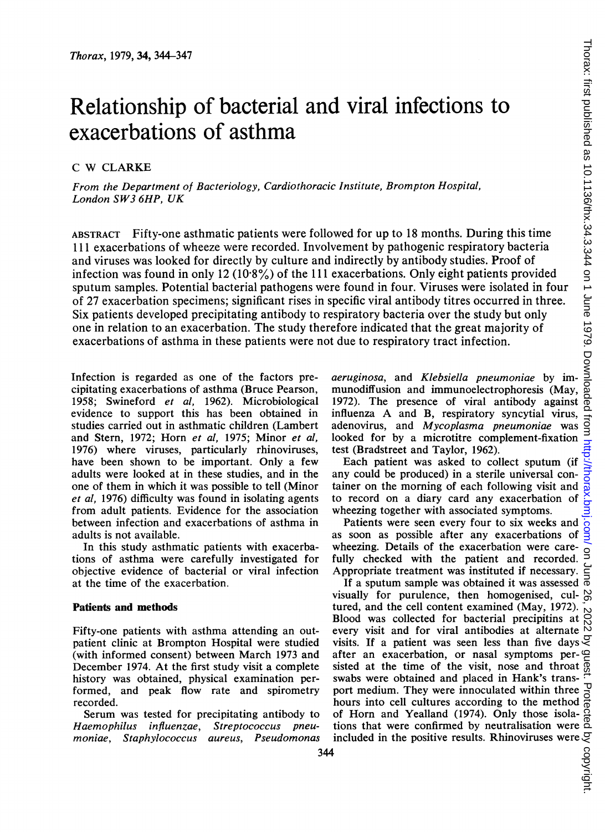# Relationship of bacterial and viral infections to exacerbations of asthma

### <sup>C</sup> W CLARKE

From the Department of Bacteriology, Cardiothoracic Institute, Brompton Hospital, London SW3 6HP, UK

ABSTRACT Fifty-one asthmatic patients were followed for up to 18 months. During this time 111 exacerbations of wheeze were recorded. Involvement by pathogenic respiratory bacteria and viruses was looked for directly by culture and indirectly by antibody studies. Proof of infection was found in only 12 (10.8%) of the 111 exacerbations. Only eight patients provided sputum samples. Potential bacterial pathogens were found in four. Viruses were isolated in four of 27 exacerbation specimens; significant rises in specific viral antibody titres occurred in three. Six patients developed precipitating antibody to respiratory bacteria over the study but only one in relation to an exacerbation. The study therefore indicated that the great majority of exacerbations of asthma in these patients were not due to respiratory tract infection.

Infection is regarded as one of the factors precipitating exacerbations of asthma (Bruce Pearson, 1958; Swineford et al, 1962). Microbiological evidence to support this has been obtained in studies carried out in asthmatic children (Lambert and Stern, 1972; Horn et al, 1975; Minor et al, 1976) where viruses, particularly rhinoviruses, have been shown to be important. Only a few adults were looked at in these studies, and in the one of them in which it was possible to tell (Minor et al, 1976) difficulty was found in isolating agents from adult patients. Evidence for the association between infection and exacerbations of asthma in adults is not available.

In this study asthmatic patients with exacerbations of asthma were carefully investigated for objective evidence of bacterial or viral infection at the time of the exacerbation.

#### Patients and methods

Fifty-one patients with asthma attending an outpatient clinic at Brompton Hospital were studied (with informed consent) between March 1973 and December 1974. At the first study visit a complete history was obtained, physical examination performed, and peak flow rate and spirometry recorded.

Serum was tested for precipitating antibody to Haemophilus influenzae, Streptococcus pneumoniae, Staphylococcus aureus, Pseudomonas aeruginosa, and Klebsiella pneumoniae by immunodiffusion and immunoelectrophoresis (May, 1972). The presence of viral antibody against influenza A and B, respiratory syncytial virus, adenovirus, and Mycoplasma pneumoniae was looked for by a microtitre complement-fixation test (Bradstreet and Taylor, 1962).

Each patient was asked to collect sputum (if any could be produced) in a sterile universal container on the morning of each following visit and to record on a diary card any exacerbation of wheezing together with associated symptoms.

Patients were seen every four to six weeks and as soon as possible after any exacerbations of wheezing. Details of the exacerbation were carefully checked with the patient and recorded. Appropriate treatment was instituted if necessary.

If a sputum sample was obtained it was assessed visually for purulence, then homogenised, cultured, and the cell content examined (May, 1972). Blood was collected for bacterial precipitins at every visit and for viral antibodies at alternate visits. If a patient was seen less than five days after an exacerbation, or nasal symptoms persisted at the time of the visit, nose and throat swabs were obtained and placed in Hank's transport medium. They were innoculated within three hours into cell cultures according to the method of Horn and Yealland (1974). Only those isolations that were confirmed by neutralisation were included in the positive results. Rhinoviruses were  $\frac{34}{3}$ <br>4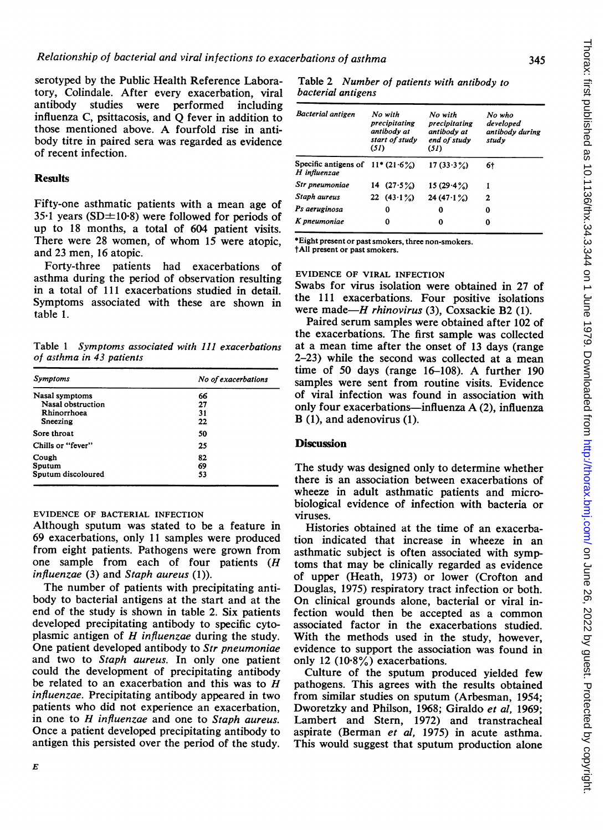serotyped by the Public Health Reference Laboratory, Colindale. After every exacerbation, viral antibody studies were performed including influenza C, psittacosis, and Q fever in addition to those mentioned above. A fourfold rise in antibody titre in paired sera was regarded as evidence of recent infection.

#### **Results**

Fifty-one asthmatic patients with a mean age of  $35.1$  years (SD $\pm$ 10.8) were followed for periods of up to 18 months, a total of 604 patient visits. There were 28 women, of whom <sup>15</sup> were atopic, and 23 men, 16 atopic.

Forty-three patients had exacerbations of asthma during the period of observation resulting in a total of 111 exacerbations studied in detail. Symptoms associated with these are shown in table 1.

Table <sup>1</sup> Symptoms associated with 111 exacerbations of asthma in 43 patients

| <b>Symptoms</b>    | No of exacerbations |  |  |
|--------------------|---------------------|--|--|
| Nasal symptoms     | 66                  |  |  |
| Nasal obstruction  | 27                  |  |  |
| Rhinorrhoea        | 31                  |  |  |
| Sneezing           | 22                  |  |  |
| Sore throat        | 50                  |  |  |
| Chills or "fever"  | 25                  |  |  |
| Cough              | 82                  |  |  |
| Sputum             | 69                  |  |  |
| Sputum discoloured | 53                  |  |  |

#### EVIDENCE OF BACTERIAL INFECTION

Although sputum was stated to be a feature in 69 exacerbations, only 11 samples were produced from eight patients. Pathogens were grown from one sample from each of four patients (H influenzae (3) and Staph aureus (1)).

The number of patients with precipitating antibody to bacterial antigens at the start and at the end of the study is shown in table 2. Six patients developed precipitating antibody to specific cytoplasmic antigen of  $H$  influenzae during the study. One patient developed antibody to Str pneumoniae and two to Staph aureus. In only one patient could the development of precipitating antibody be related to an exacerbation and this was to  $H$ influenzae. Precipitating antibody appeared in two patients who did not experience an exacerbation, in one to H influenzae and one to Staph aureus. Once a patient developed precipitating antibody to antigen this persisted over the period of the study.

E

Table 2 Number of patients with antibody to bacterial antigens

| <b>Bacterial antigen</b>                           | No with<br>precipitating<br>antibody at<br>start of study<br>(51) | No with<br>precipitating<br>antibody at<br>end of study<br>(51) | No who<br>developed<br>antibody during<br>study |
|----------------------------------------------------|-------------------------------------------------------------------|-----------------------------------------------------------------|-------------------------------------------------|
| Specific antigens of $11*(21.6\%)$<br>H influenzae |                                                                   | 17(33.3%)                                                       | 6†                                              |
| Str pneumoniae                                     | 14 $(27.5\%)$                                                     | 15(29.4%)                                                       | 1                                               |
| Staph aureus                                       | 22 $(43.1\%)$                                                     | $24(47.1\%)$                                                    | 2                                               |
| Ps aeruginosa                                      | 0                                                                 | 0                                                               | 0                                               |
| K pneumoniae                                       | 0                                                                 | 0                                                               | 0                                               |

\*Eight present or past smokers, three non-smokers. tAll present or past smokers.

#### EVIDENCE OF VIRAL INFECTION

Swabs for virus isolation were obtained in 27 of the 111 exacerbations. Four positive isolations were made- $H$  rhinovirus (3), Coxsackie B2 (1).

Paired serum samples were obtained after 102 of the exacerbations. The first sample was collected at a mean time after the onset of <sup>13</sup> days (range 2-23) while the second was collected at a mean time of <sup>50</sup> days (range 16-108). A further <sup>190</sup> samples were sent from routine visits. Evidence of viral infection was found in association with only four exacerbations-influenza A (2), influenza B (1), and adenovirus (1).

### **Discussion**

The study was designed only to determine whether there is an association between exacerbations of wheeze in adult asthmatic patients and microbiological evidence of infection with bacteria or viruses.

Histories obtained at the time of an exacerbation indicated that increase in wheeze in an asthmatic subject is often associated with symptoms that may be clinically regarded as evidence of upper (Heath, 1973) or lower (Crofton and Douglas, 1975) respiratory tract infection or both. On clinical grounds alone, bacterial or viral infection would then be accepted as a common associated factor in the exacerbations studied. With the methods used in the study, however, evidence to support the association was found in only 12 (10-8%) exacerbations.

Culture of the sputum produced yielded few pathogens. This agrees with the results obtained from similar studies on sputum (Arbesman, 1954; Dworetzky and Philson, 1968; Giraldo et al, 1969; Lambert and Stem, 1972) and transtracheal aspirate (Berman et al, 1975) in acute asthma. This would suggest that sputum production alone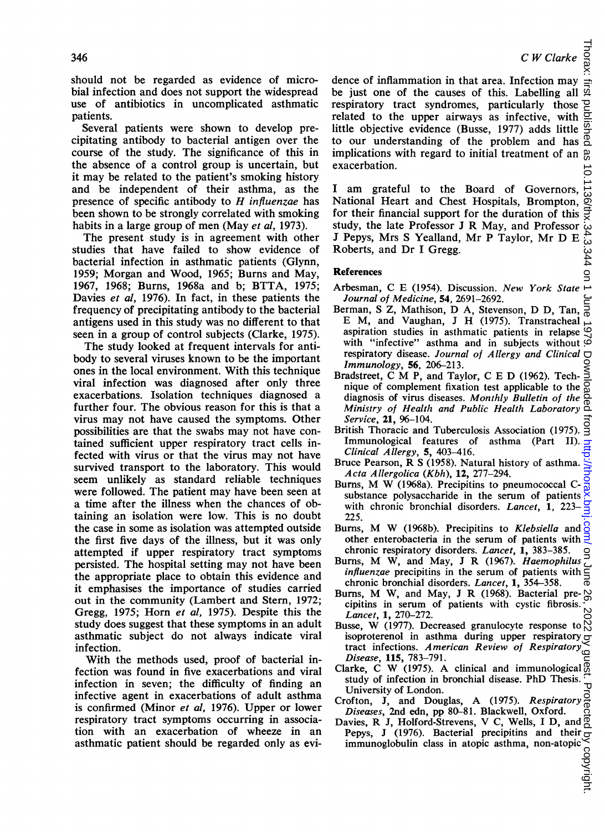$\overline{a}$ 

should not be regarded as evidence of microbial infection and does not support the widespread use of antibiotics in uncomplicated asthmatic patients.

Several patients were shown to develop precipitating antibody to bacterial antigen over the course of the study. The significance of this in the absence of a control group is uncertain, but it may be related to the patient's smoking history and be independent of their asthma, as the presence of specific antibody to  $H$  influenzae has been shown to be strongly correlated with smoking habits in a large group of men (May et al, 1973).

The present study is in agreement with other studies that have failed to show evidence of bacterial infection in asthmatic patients (Glynn, 1959; Morgan and Wood, 1965; Burns and May, 1967, 1968; Burns, 1968a and b; BTTA, 1975; Davies et al, 1976). In fact, in these patients the frequency of precipitating antibody to the bacterial antigens used in this study was no different to that seen in a group of control subjects (Clarke, 1975).

The study looked at frequent intervals for antibody to several viruses known to be the important ones in the local environment. With this technique viral infection was diagnosed after only three exacerbations. Isolation techniques diagnosed a further four. The obvious reason for this is that a virus may not have caused the symptoms. Other possibilities are that the swabs may not have contained sufficient upper respiratory tract cells infected with virus or that the virus may not have survived transport to the laboratory. This would seem unlikely as standard reliable techniques were followed. The patient may have been seen at a time after the illness when the chances of obtaining an isolation were low. This is no doubt the case in some as isolation was attempted outside the first five days of the illness, but it was only attempted if upper respiratory tract symptoms persisted. The hospital setting may not have been the appropriate place to obtain this evidence and it emphasises the importance of studies carried out in the community (Lambert and Stern, 1972; Gregg, 1975; Horn et al, 1975). Despite this the study does suggest that these symptoms in an adult asthmatic subject do not always indicate viral infection.

With the methods used, proof of bacterial infection was found in five exacerbations and viral infection in seven; the difficulty of finding an infective agent in exacerbations of adult asthma is confirmed (Minor et al, 1976). Upper or lower respiratory tract symptoms occurring in association with an exacerbation of wheeze in an asthmatic patient should be regarded only as evi-

dence of inflammation in that area. Infection may be just one of the causes of this. Labelling all respiratory tract syndromes, particularly those  $\frac{1}{2}$ <br>related to the unner airways as infective, with  $\frac{1}{2}$ related to the upper airways as infective, with little objective evidence (Busse, 1977) adds little to our understanding of the problem and has  $\frac{0}{0}$ implications with regard to initial treatment of an  $\frac{\omega}{6}$ exacerbation. on June 26, 2022 by guest. Protected by copyright. <http://thorax.bmj.com/> Thorax: first published as 10.1136/thx.34.3.344 on 1 June 1979. Downloaded from

<sup>I</sup> am grateful to the Board of Governors, 136/thx National Heart and Chest Hospitals, Brompton, for their financial support for the duration of this study, the late Professor <sup>J</sup> R May, and Professor <sup>J</sup> Pepys, Mrs <sup>S</sup> Yealland, Mr P Taylor, Mr D E Roberts, and Dr <sup>I</sup> Gregg.  $344$ 

#### References

- Arbesman, C E (1954). Discussion. New York State Journal of Medicine, 54, 2691-2692.
- Berman, S Z, Mathison, D A, Stevenson, D D, Tan, ౚ E M, and Vaughan, J H (1975). Transtracheal aspiration studies in asthmatic patients in relapse  $\mathcal{Q}_1$ with "infective" asthma and in subjects without  $\vec{C}$ respiratory disease. Journal of Allergy and Clinical  $\Box$ Immunology, 56, 206-213.
- Bradstreet, C M P, and Taylor, C <sup>E</sup> D (1962). Technique of complement fixation test applicable to the  $\overline{Q}$ diagnosis of virus diseases. Monthly Bulletin of the Ministry of Health and Public Health Laboratory Service, 21, 96-104.
- British Thoracic and Tuberculosis Association (1975). Immunological features of asthma (Part II). Clinical Allergy, 5, 403-416.
- Bruce Pearson, R <sup>S</sup> (1958). Natural history of asthma. Acta Allergolica (Kbh), 12, 277-294.
- Burns, M W (1968a). Precipitins to pneumococcal Csubstance polysaccharide in the serum of patients with chronic bronchial disorders. Lancet, 1, 223-225.
- Burns, M W (1968b). Precipitins to *Klebsiella* and  $\frac{8}{5}$  other enterobacteria in the serum of patients with  $\frac{3}{5}$ other enterobacteria in the serum of patients with chronic respiratory disorders. Lancet, 1, 383-385.
- Burns, M W, and May, <sup>J</sup> R (1967). Haemophilus influenzae precipitins in the serum of patients with chronic bronchial disorders. Lancet, 1, 354-358.
- Burns, M W, and May, J R (1968). Bacterial pre- $\frac{1}{60}$ cipitins in serum of patients with cystic fibrosis. Lancet, 1, 270-272.
- Busse, W (1977). Decreased granulocyte response to isoproterenol in asthma during upper respiratory tract infections. American Review of Respiratory Disease, 115, 783-791.
- Clarke, C W (1975). A clinical and immunological  $\overline{Q}$ study of infection in bronchial disease. PhD Thesis.  $\overline{u}$ University of London.
- Crofton, J, and Douglas, A (1975). Respiratory
- Diseases, 2nd edn, pp 80-81. Blackwell, Oxford. Davies, R J, Holford-Strevens, V C, Wells, <sup>I</sup> D, and Pepys, J (1976). Bacterial precipitins and their  $\frac{1}{C}$ <br>immunoglobulin class in atopic asthma, non-atopic  $\frac{8}{C}$ <br> $\frac{1}{C}$ immunoglobulin class in atopic asthma, non-atopic